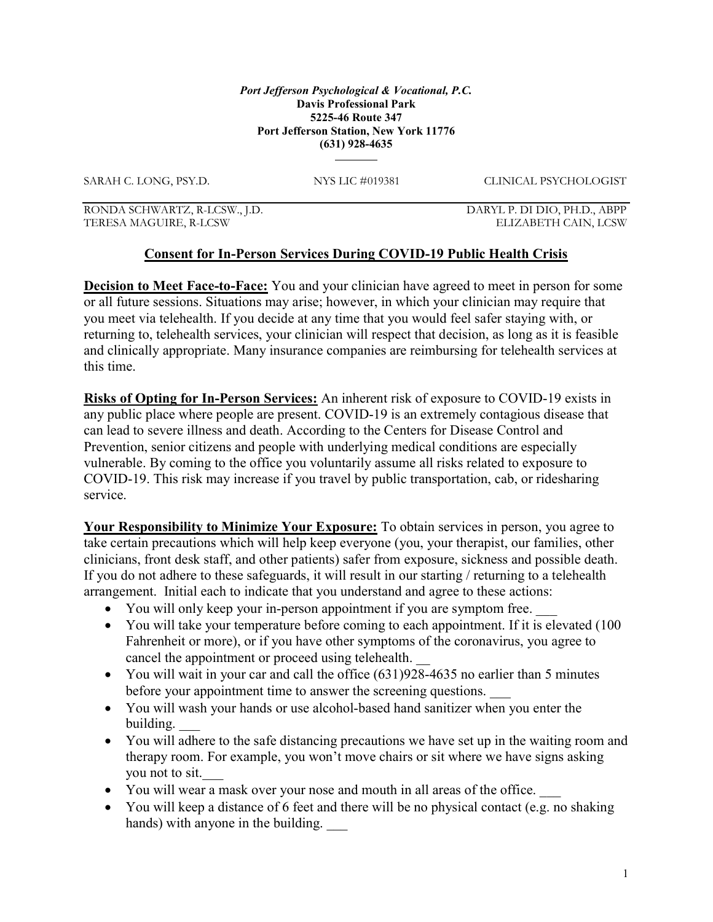## Port Jefferson Psychological & Vocational, P.C. Davis Professional Park 5225-46 Route 347 Port Jefferson Station, New York 11776 (631) 928-4635

SARAH C. LONG, PSY.D. NYS LIC #019381 CLINICAL PSYCHOLOGIST

RONDA SCHWARTZ, R-LCSW., J.D. DARYL P. DI DIO, PH.D., ABPP TERESA MAGUIRE, R-LCSW ELIZABETH CAIN, LCSW

## Consent for In-Person Services During COVID-19 Public Health Crisis

**Decision to Meet Face-to-Face:** You and your clinician have agreed to meet in person for some or all future sessions. Situations may arise; however, in which your clinician may require that you meet via telehealth. If you decide at any time that you would feel safer staying with, or returning to, telehealth services, your clinician will respect that decision, as long as it is feasible and clinically appropriate. Many insurance companies are reimbursing for telehealth services at this time.

Risks of Opting for In-Person Services: An inherent risk of exposure to COVID-19 exists in any public place where people are present. COVID-19 is an extremely contagious disease that can lead to severe illness and death. According to the Centers for Disease Control and Prevention, senior citizens and people with underlying medical conditions are especially vulnerable. By coming to the office you voluntarily assume all risks related to exposure to COVID-19. This risk may increase if you travel by public transportation, cab, or ridesharing service.

Your Responsibility to Minimize Your Exposure: To obtain services in person, you agree to take certain precautions which will help keep everyone (you, your therapist, our families, other clinicians, front desk staff, and other patients) safer from exposure, sickness and possible death. If you do not adhere to these safeguards, it will result in our starting / returning to a telehealth arrangement. Initial each to indicate that you understand and agree to these actions:

- You will only keep your in-person appointment if you are symptom free.
- You will take your temperature before coming to each appointment. If it is elevated (100) Fahrenheit or more), or if you have other symptoms of the coronavirus, you agree to cancel the appointment or proceed using telehealth.
- You will wait in your car and call the office (631)928-4635 no earlier than 5 minutes before your appointment time to answer the screening questions.
- You will wash your hands or use alcohol-based hand sanitizer when you enter the building.
- You will adhere to the safe distancing precautions we have set up in the waiting room and therapy room. For example, you won't move chairs or sit where we have signs asking you not to sit.
- You will wear a mask over your nose and mouth in all areas of the office.
- You will keep a distance of 6 feet and there will be no physical contact (e.g. no shaking hands) with anyone in the building.